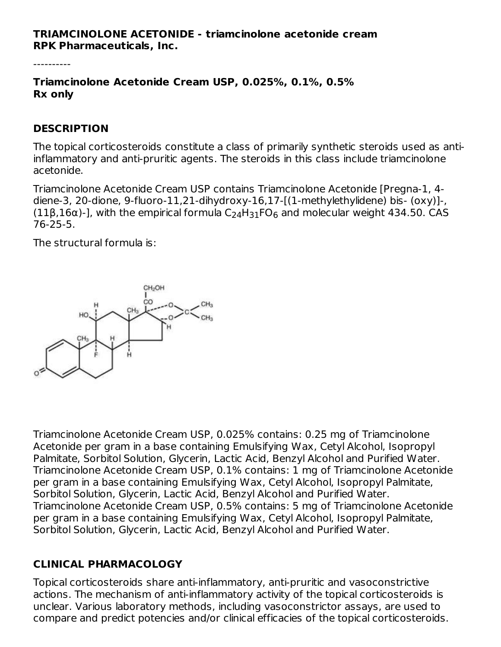#### **TRIAMCINOLONE ACETONIDE - triamcinolone acetonide cream RPK Pharmaceuticals, Inc.**

----------

**Triamcinolone Acetonide Cream USP, 0.025%, 0.1%, 0.5% Rx only**

#### **DESCRIPTION**

The topical corticosteroids constitute a class of primarily synthetic steroids used as antiinflammatory and anti-pruritic agents. The steroids in this class include triamcinolone acetonide.

Triamcinolone Acetonide Cream USP contains Triamcinolone Acetonide [Pregna-1, 4 diene-3, 20-dione, 9-fluoro-11,21-dihydroxy-16,17-[(1-methylethylidene) bis- (oxy)]-, (11β,16α)-], with the empirical formula  $\rm C_2$ <sub>4</sub>H<sub>31</sub>FO<sub>6</sub> and molecular weight 434.50. CAS 76-25-5.

The structural formula is:



Triamcinolone Acetonide Cream USP, 0.025% contains: 0.25 mg of Triamcinolone Acetonide per gram in a base containing Emulsifying Wax, Cetyl Alcohol, Isopropyl Palmitate, Sorbitol Solution, Glycerin, Lactic Acid, Benzyl Alcohol and Purified Water. Triamcinolone Acetonide Cream USP, 0.1% contains: 1 mg of Triamcinolone Acetonide per gram in a base containing Emulsifying Wax, Cetyl Alcohol, Isopropyl Palmitate, Sorbitol Solution, Glycerin, Lactic Acid, Benzyl Alcohol and Purified Water. Triamcinolone Acetonide Cream USP, 0.5% contains: 5 mg of Triamcinolone Acetonide per gram in a base containing Emulsifying Wax, Cetyl Alcohol, Isopropyl Palmitate, Sorbitol Solution, Glycerin, Lactic Acid, Benzyl Alcohol and Purified Water.

## **CLINICAL PHARMACOLOGY**

Topical corticosteroids share anti-inflammatory, anti-pruritic and vasoconstrictive actions. The mechanism of anti-inflammatory activity of the topical corticosteroids is unclear. Various laboratory methods, including vasoconstrictor assays, are used to compare and predict potencies and/or clinical efficacies of the topical corticosteroids.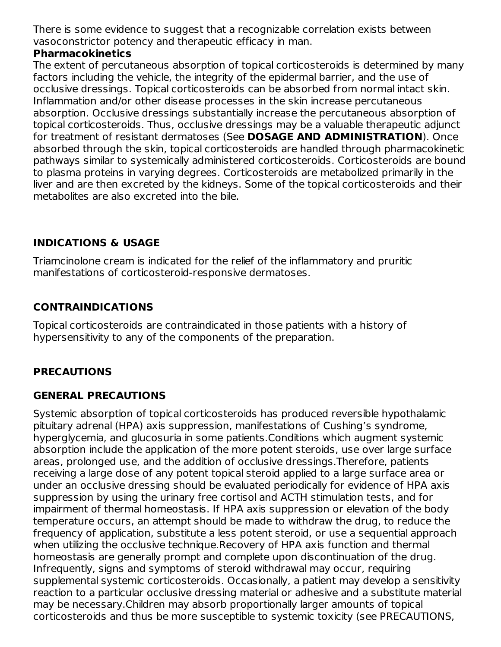There is some evidence to suggest that a recognizable correlation exists between vasoconstrictor potency and therapeutic efficacy in man.

#### **Pharmacokinetics**

The extent of percutaneous absorption of topical corticosteroids is determined by many factors including the vehicle, the integrity of the epidermal barrier, and the use of occlusive dressings. Topical corticosteroids can be absorbed from normal intact skin. Inflammation and/or other disease processes in the skin increase percutaneous absorption. Occlusive dressings substantially increase the percutaneous absorption of topical corticosteroids. Thus, occlusive dressings may be a valuable therapeutic adjunct for treatment of resistant dermatoses (See **DOSAGE AND ADMINISTRATION**). Once absorbed through the skin, topical corticosteroids are handled through pharmacokinetic pathways similar to systemically administered corticosteroids. Corticosteroids are bound to plasma proteins in varying degrees. Corticosteroids are metabolized primarily in the liver and are then excreted by the kidneys. Some of the topical corticosteroids and their metabolites are also excreted into the bile.

## **INDICATIONS & USAGE**

Triamcinolone cream is indicated for the relief of the inflammatory and pruritic manifestations of corticosteroid-responsive dermatoses.

# **CONTRAINDICATIONS**

Topical corticosteroids are contraindicated in those patients with a history of hypersensitivity to any of the components of the preparation.

## **PRECAUTIONS**

## **GENERAL PRECAUTIONS**

Systemic absorption of topical corticosteroids has produced reversible hypothalamic pituitary adrenal (HPA) axis suppression, manifestations of Cushing's syndrome, hyperglycemia, and glucosuria in some patients.Conditions which augment systemic absorption include the application of the more potent steroids, use over large surface areas, prolonged use, and the addition of occlusive dressings.Therefore, patients receiving a large dose of any potent topical steroid applied to a large surface area or under an occlusive dressing should be evaluated periodically for evidence of HPA axis suppression by using the urinary free cortisol and ACTH stimulation tests, and for impairment of thermal homeostasis. If HPA axis suppression or elevation of the body temperature occurs, an attempt should be made to withdraw the drug, to reduce the frequency of application, substitute a less potent steroid, or use a sequential approach when utilizing the occlusive technique.Recovery of HPA axis function and thermal homeostasis are generally prompt and complete upon discontinuation of the drug. Infrequently, signs and symptoms of steroid withdrawal may occur, requiring supplemental systemic corticosteroids. Occasionally, a patient may develop a sensitivity reaction to a particular occlusive dressing material or adhesive and a substitute material may be necessary.Children may absorb proportionally larger amounts of topical corticosteroids and thus be more susceptible to systemic toxicity (see PRECAUTIONS,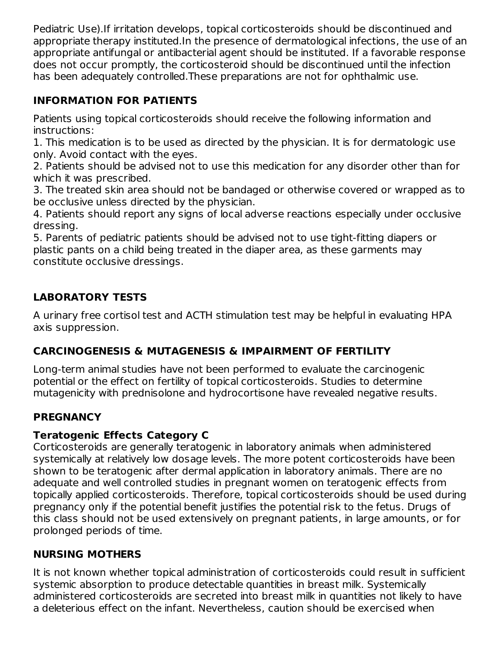Pediatric Use).If irritation develops, topical corticosteroids should be discontinued and appropriate therapy instituted.In the presence of dermatological infections, the use of an appropriate antifungal or antibacterial agent should be instituted. If a favorable response does not occur promptly, the corticosteroid should be discontinued until the infection has been adequately controlled.These preparations are not for ophthalmic use.

# **INFORMATION FOR PATIENTS**

Patients using topical corticosteroids should receive the following information and instructions:

1. This medication is to be used as directed by the physician. It is for dermatologic use only. Avoid contact with the eyes.

2. Patients should be advised not to use this medication for any disorder other than for which it was prescribed.

3. The treated skin area should not be bandaged or otherwise covered or wrapped as to be occlusive unless directed by the physician.

4. Patients should report any signs of local adverse reactions especially under occlusive dressing.

5. Parents of pediatric patients should be advised not to use tight-fitting diapers or plastic pants on a child being treated in the diaper area, as these garments may constitute occlusive dressings.

# **LABORATORY TESTS**

A urinary free cortisol test and ACTH stimulation test may be helpful in evaluating HPA axis suppression.

## **CARCINOGENESIS & MUTAGENESIS & IMPAIRMENT OF FERTILITY**

Long-term animal studies have not been performed to evaluate the carcinogenic potential or the effect on fertility of topical corticosteroids. Studies to determine mutagenicity with prednisolone and hydrocortisone have revealed negative results.

## **PREGNANCY**

## **Teratogenic Effects Category C**

Corticosteroids are generally teratogenic in laboratory animals when administered systemically at relatively low dosage levels. The more potent corticosteroids have been shown to be teratogenic after dermal application in laboratory animals. There are no adequate and well controlled studies in pregnant women on teratogenic effects from topically applied corticosteroids. Therefore, topical corticosteroids should be used during pregnancy only if the potential benefit justifies the potential risk to the fetus. Drugs of this class should not be used extensively on pregnant patients, in large amounts, or for prolonged periods of time.

## **NURSING MOTHERS**

It is not known whether topical administration of corticosteroids could result in sufficient systemic absorption to produce detectable quantities in breast milk. Systemically administered corticosteroids are secreted into breast milk in quantities not likely to have a deleterious effect on the infant. Nevertheless, caution should be exercised when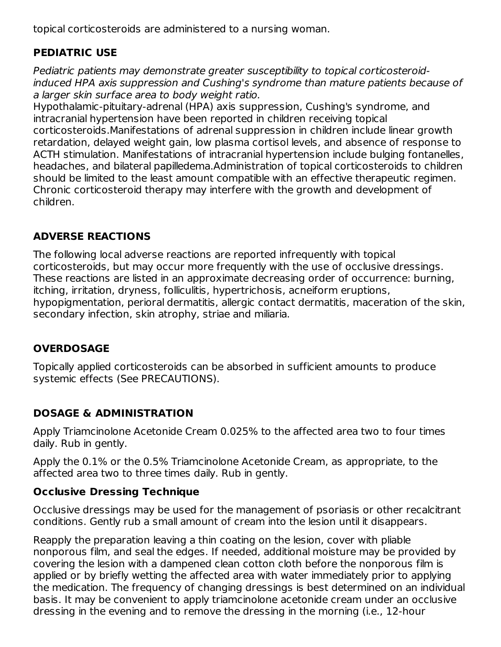topical corticosteroids are administered to a nursing woman.

# **PEDIATRIC USE**

Pediatric patients may demonstrate greater susceptibility to topical corticosteroidinduced HPA axis suppression and Cushing's syndrome than mature patients because of a larger skin surface area to body weight ratio.

Hypothalamic-pituitary-adrenal (HPA) axis suppression, Cushing's syndrome, and intracranial hypertension have been reported in children receiving topical corticosteroids.Manifestations of adrenal suppression in children include linear growth retardation, delayed weight gain, low plasma cortisol levels, and absence of response to ACTH stimulation. Manifestations of intracranial hypertension include bulging fontanelles, headaches, and bilateral papilledema.Administration of topical corticosteroids to children should be limited to the least amount compatible with an effective therapeutic regimen. Chronic corticosteroid therapy may interfere with the growth and development of children.

## **ADVERSE REACTIONS**

The following local adverse reactions are reported infrequently with topical corticosteroids, but may occur more frequently with the use of occlusive dressings. These reactions are listed in an approximate decreasing order of occurrence: burning, itching, irritation, dryness, folliculitis, hypertrichosis, acneiform eruptions, hypopigmentation, perioral dermatitis, allergic contact dermatitis, maceration of the skin, secondary infection, skin atrophy, striae and miliaria.

## **OVERDOSAGE**

Topically applied corticosteroids can be absorbed in sufficient amounts to produce systemic effects (See PRECAUTIONS).

## **DOSAGE & ADMINISTRATION**

Apply Triamcinolone Acetonide Cream 0.025% to the affected area two to four times daily. Rub in gently.

Apply the 0.1% or the 0.5% Triamcinolone Acetonide Cream, as appropriate, to the affected area two to three times daily. Rub in gently.

## **Occlusive Dressing Technique**

Occlusive dressings may be used for the management of psoriasis or other recalcitrant conditions. Gently rub a small amount of cream into the lesion until it disappears.

Reapply the preparation leaving a thin coating on the lesion, cover with pliable nonporous film, and seal the edges. If needed, additional moisture may be provided by covering the lesion with a dampened clean cotton cloth before the nonporous film is applied or by briefly wetting the affected area with water immediately prior to applying the medication. The frequency of changing dressings is best determined on an individual basis. It may be convenient to apply triamcinolone acetonide cream under an occlusive dressing in the evening and to remove the dressing in the morning (i.e., 12-hour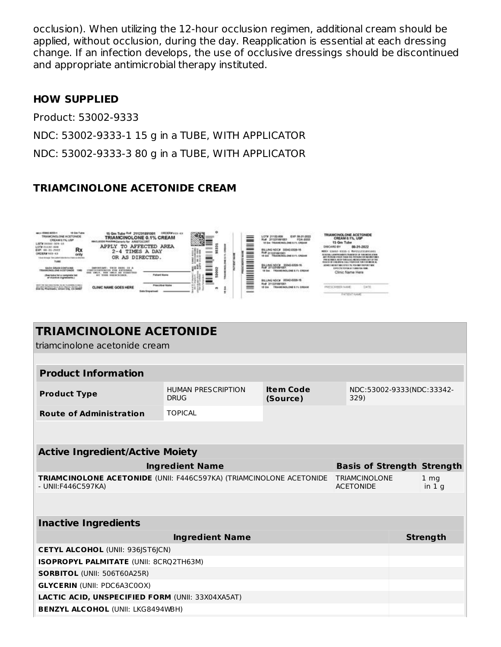occlusion). When utilizing the 12-hour occlusion regimen, additional cream should be applied, without occlusion, during the day. Reapplication is essential at each dressing change. If an infection develops, the use of occlusive dressings should be discontinued and appropriate antimicrobial therapy instituted.

#### **HOW SUPPLIED**

Product: 53002-9333

NDC: 53002-9333-1 15 g in a TUBE, WITH APPLICATOR

NDC: 53002-9333-3 80 g in a TUBE, WITH APPLICATOR

#### **TRIAMCINOLONE ACETONIDE CREAM**



| <b>TRIAMCINOLONE ACETONIDE</b>                                                             |                                                                                                               |                                   |                           |  |  |  |  |
|--------------------------------------------------------------------------------------------|---------------------------------------------------------------------------------------------------------------|-----------------------------------|---------------------------|--|--|--|--|
| triamcinolone acetonide cream                                                              |                                                                                                               |                                   |                           |  |  |  |  |
|                                                                                            |                                                                                                               |                                   |                           |  |  |  |  |
| <b>Product Information</b>                                                                 |                                                                                                               |                                   |                           |  |  |  |  |
| <b>Product Type</b>                                                                        | <b>Item Code</b><br><b>HUMAN PRESCRIPTION</b><br>NDC:53002-9333(NDC:33342-<br><b>DRUG</b><br>(Source)<br>329) |                                   |                           |  |  |  |  |
| <b>Route of Administration</b>                                                             | <b>TOPICAL</b>                                                                                                |                                   |                           |  |  |  |  |
|                                                                                            |                                                                                                               |                                   |                           |  |  |  |  |
| <b>Active Ingredient/Active Moiety</b>                                                     |                                                                                                               |                                   |                           |  |  |  |  |
| <b>Ingredient Name</b>                                                                     |                                                                                                               | <b>Basis of Strength Strength</b> |                           |  |  |  |  |
| TRIAMCINOLONE ACETONIDE (UNII: F446C597KA) (TRIAMCINOLONE ACETONIDE<br>- UNII: F446C597KA) | <b>TRIAMCINOLONE</b><br><b>ACETONIDE</b>                                                                      |                                   | 1 <sub>mg</sub><br>in 1 q |  |  |  |  |
|                                                                                            |                                                                                                               |                                   |                           |  |  |  |  |
| <b>Inactive Ingredients</b>                                                                |                                                                                                               |                                   |                           |  |  |  |  |
|                                                                                            | <b>Strength</b>                                                                                               |                                   |                           |  |  |  |  |
| <b>CETYL ALCOHOL (UNII: 936JST6JCN)</b>                                                    |                                                                                                               |                                   |                           |  |  |  |  |
| ISOPROPYL PALMITATE (UNII: 8CRQ2TH63M)                                                     |                                                                                                               |                                   |                           |  |  |  |  |
| <b>SORBITOL (UNII: 506T60A25R)</b>                                                         |                                                                                                               |                                   |                           |  |  |  |  |
| <b>GLYCERIN (UNII: PDC6A3C0OX)</b>                                                         |                                                                                                               |                                   |                           |  |  |  |  |
| <b>LACTIC ACID. UNSPECIFIED FORM (UNII: 33X04XA5AT)</b>                                    |                                                                                                               |                                   |                           |  |  |  |  |
| <b>BENZYL ALCOHOL (UNII: LKG8494WBH)</b>                                                   |                                                                                                               |                                   |                           |  |  |  |  |